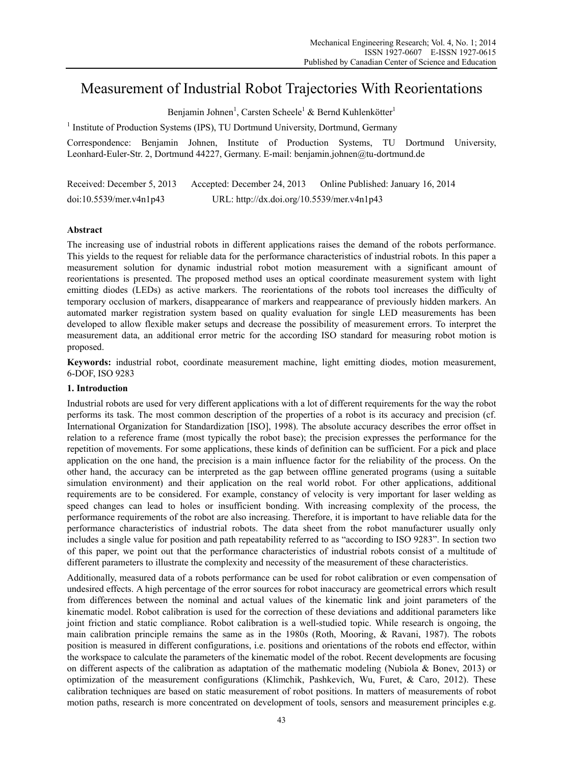# Measurement of Industrial Robot Trajectories With Reorientations

Benjamin Johnen<sup>1</sup>, Carsten Scheele<sup>1</sup> & Bernd Kuhlenkötter<sup>1</sup>

<sup>1</sup> Institute of Production Systems (IPS), TU Dortmund University, Dortmund, Germany

Correspondence: Benjamin Johnen, Institute of Production Systems, TU Dortmund University, Leonhard-Euler-Str. 2, Dortmund 44227, Germany. E-mail: benjamin.johnen@tu-dortmund.de

Received: December 5, 2013 Accepted: December 24, 2013 Online Published: January 16, 2014 doi:10.5539/mer.v4n1p43 URL: http://dx.doi.org/10.5539/mer.v4n1p43

# **Abstract**

The increasing use of industrial robots in different applications raises the demand of the robots performance. This yields to the request for reliable data for the performance characteristics of industrial robots. In this paper a measurement solution for dynamic industrial robot motion measurement with a significant amount of reorientations is presented. The proposed method uses an optical coordinate measurement system with light emitting diodes (LEDs) as active markers. The reorientations of the robots tool increases the difficulty of temporary occlusion of markers, disappearance of markers and reappearance of previously hidden markers. An automated marker registration system based on quality evaluation for single LED measurements has been developed to allow flexible maker setups and decrease the possibility of measurement errors. To interpret the measurement data, an additional error metric for the according ISO standard for measuring robot motion is proposed.

**Keywords:** industrial robot, coordinate measurement machine, light emitting diodes, motion measurement, 6-DOF, ISO 9283

## **1. Introduction**

Industrial robots are used for very different applications with a lot of different requirements for the way the robot performs its task. The most common description of the properties of a robot is its accuracy and precision (cf. International Organization for Standardization [ISO], 1998). The absolute accuracy describes the error offset in relation to a reference frame (most typically the robot base); the precision expresses the performance for the repetition of movements. For some applications, these kinds of definition can be sufficient. For a pick and place application on the one hand, the precision is a main influence factor for the reliability of the process. On the other hand, the accuracy can be interpreted as the gap between offline generated programs (using a suitable simulation environment) and their application on the real world robot. For other applications, additional requirements are to be considered. For example, constancy of velocity is very important for laser welding as speed changes can lead to holes or insufficient bonding. With increasing complexity of the process, the performance requirements of the robot are also increasing. Therefore, it is important to have reliable data for the performance characteristics of industrial robots. The data sheet from the robot manufacturer usually only includes a single value for position and path repeatability referred to as "according to ISO 9283". In section two of this paper, we point out that the performance characteristics of industrial robots consist of a multitude of different parameters to illustrate the complexity and necessity of the measurement of these characteristics.

Additionally, measured data of a robots performance can be used for robot calibration or even compensation of undesired effects. A high percentage of the error sources for robot inaccuracy are geometrical errors which result from differences between the nominal and actual values of the kinematic link and joint parameters of the kinematic model. Robot calibration is used for the correction of these deviations and additional parameters like joint friction and static compliance. Robot calibration is a well-studied topic. While research is ongoing, the main calibration principle remains the same as in the 1980s (Roth, Mooring, & Ravani, 1987). The robots position is measured in different configurations, i.e. positions and orientations of the robots end effector, within the workspace to calculate the parameters of the kinematic model of the robot. Recent developments are focusing on different aspects of the calibration as adaptation of the mathematic modeling (Nubiola & Bonev, 2013) or optimization of the measurement configurations (Klimchik, Pashkevich, Wu, Furet, & Caro, 2012). These calibration techniques are based on static measurement of robot positions. In matters of measurements of robot motion paths, research is more concentrated on development of tools, sensors and measurement principles e.g.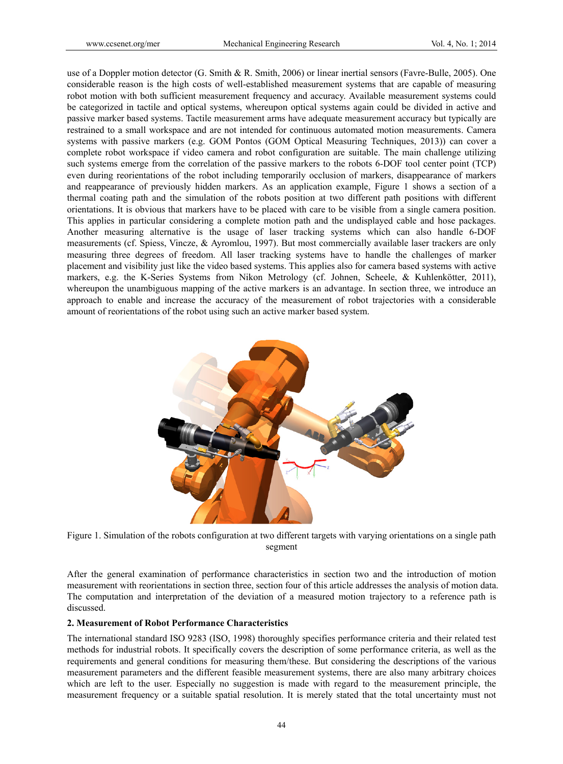use of a Doppler motion detector (G. Smith & R. Smith, 2006) or linear inertial sensors (Favre-Bulle, 2005). One considerable reason is the high costs of well-established measurement systems that are capable of measuring robot motion with both sufficient measurement frequency and accuracy. Available measurement systems could be categorized in tactile and optical systems, whereupon optical systems again could be divided in active and passive marker based systems. Tactile measurement arms have adequate measurement accuracy but typically are restrained to a small workspace and are not intended for continuous automated motion measurements. Camera systems with passive markers (e.g. GOM Pontos (GOM Optical Measuring Techniques, 2013)) can cover a complete robot workspace if video camera and robot configuration are suitable. The main challenge utilizing such systems emerge from the correlation of the passive markers to the robots 6-DOF tool center point (TCP) even during reorientations of the robot including temporarily occlusion of markers, disappearance of markers and reappearance of previously hidden markers. As an application example, Figure 1 shows a section of a thermal coating path and the simulation of the robots position at two different path positions with different orientations. It is obvious that markers have to be placed with care to be visible from a single camera position. This applies in particular considering a complete motion path and the undisplayed cable and hose packages. Another measuring alternative is the usage of laser tracking systems which can also handle 6-DOF measurements (cf. Spiess, Vincze, & Ayromlou, 1997). But most commercially available laser trackers are only measuring three degrees of freedom. All laser tracking systems have to handle the challenges of marker placement and visibility just like the video based systems. This applies also for camera based systems with active markers, e.g. the K-Series Systems from Nikon Metrology (cf. Johnen, Scheele, & Kuhlenkötter, 2011), whereupon the unambiguous mapping of the active markers is an advantage. In section three, we introduce an approach to enable and increase the accuracy of the measurement of robot trajectories with a considerable amount of reorientations of the robot using such an active marker based system.



Figure 1. Simulation of the robots configuration at two different targets with varying orientations on a single path segment

After the general examination of performance characteristics in section two and the introduction of motion measurement with reorientations in section three, section four of this article addresses the analysis of motion data. The computation and interpretation of the deviation of a measured motion trajectory to a reference path is discussed.

## **2. Measurement of Robot Performance Characteristics**

The international standard ISO 9283 (ISO, 1998) thoroughly specifies performance criteria and their related test methods for industrial robots. It specifically covers the description of some performance criteria, as well as the requirements and general conditions for measuring them/these. But considering the descriptions of the various measurement parameters and the different feasible measurement systems, there are also many arbitrary choices which are left to the user. Especially no suggestion is made with regard to the measurement principle, the measurement frequency or a suitable spatial resolution. It is merely stated that the total uncertainty must not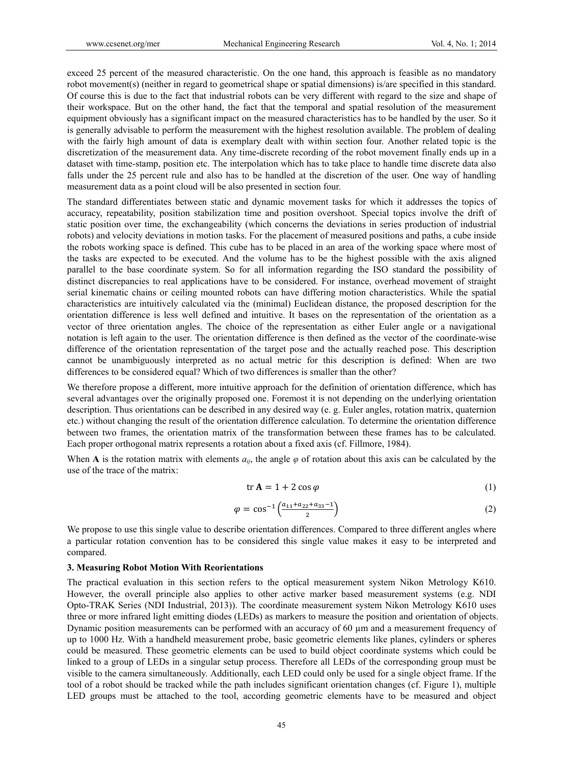exceed 25 percent of the measured characteristic. On the one hand, this approach is feasible as no mandatory robot movement(s) (neither in regard to geometrical shape or spatial dimensions) is/are specified in this standard. Of course this is due to the fact that industrial robots can be very different with regard to the size and shape of their workspace. But on the other hand, the fact that the temporal and spatial resolution of the measurement equipment obviously has a significant impact on the measured characteristics has to be handled by the user. So it is generally advisable to perform the measurement with the highest resolution available. The problem of dealing with the fairly high amount of data is exemplary dealt with within section four. Another related topic is the discretization of the measurement data. Any time-discrete recording of the robot movement finally ends up in a dataset with time-stamp, position etc. The interpolation which has to take place to handle time discrete data also falls under the 25 percent rule and also has to be handled at the discretion of the user. One way of handling measurement data as a point cloud will be also presented in section four.

The standard differentiates between static and dynamic movement tasks for which it addresses the topics of accuracy, repeatability, position stabilization time and position overshoot. Special topics involve the drift of static position over time, the exchangeability (which concerns the deviations in series production of industrial robots) and velocity deviations in motion tasks. For the placement of measured positions and paths, a cube inside the robots working space is defined. This cube has to be placed in an area of the working space where most of the tasks are expected to be executed. And the volume has to be the highest possible with the axis aligned parallel to the base coordinate system. So for all information regarding the ISO standard the possibility of distinct discrepancies to real applications have to be considered. For instance, overhead movement of straight serial kinematic chains or ceiling mounted robots can have differing motion characteristics. While the spatial characteristics are intuitively calculated via the (minimal) Euclidean distance, the proposed description for the orientation difference is less well defined and intuitive. It bases on the representation of the orientation as a vector of three orientation angles. The choice of the representation as either Euler angle or a navigational notation is left again to the user. The orientation difference is then defined as the vector of the coordinate-wise difference of the orientation representation of the target pose and the actually reached pose. This description cannot be unambiguously interpreted as no actual metric for this description is defined: When are two differences to be considered equal? Which of two differences is smaller than the other?

We therefore propose a different, more intuitive approach for the definition of orientation difference, which has several advantages over the originally proposed one. Foremost it is not depending on the underlying orientation description. Thus orientations can be described in any desired way (e. g. Euler angles, rotation matrix, quaternion etc.) without changing the result of the orientation difference calculation. To determine the orientation difference between two frames, the orientation matrix of the transformation between these frames has to be calculated. Each proper orthogonal matrix represents a rotation about a fixed axis (cf. Fillmore, 1984).

When **A** is the rotation matrix with elements  $a_{ij}$ , the angle  $\varphi$  of rotation about this axis can be calculated by the use of the trace of the matrix:

$$
\text{tr}\,\mathbf{A} = 1 + 2\cos\varphi\tag{1}
$$

$$
\varphi = \cos^{-1}\left(\frac{a_{11} + a_{22} + a_{33} - 1}{2}\right) \tag{2}
$$

We propose to use this single value to describe orientation differences. Compared to three different angles where a particular rotation convention has to be considered this single value makes it easy to be interpreted and compared.

#### **3. Measuring Robot Motion With Reorientations**

The practical evaluation in this section refers to the optical measurement system Nikon Metrology K610. However, the overall principle also applies to other active marker based measurement systems (e.g. NDI Opto-TRAK Series (NDI Industrial, 2013)). The coordinate measurement system Nikon Metrology K610 uses three or more infrared light emitting diodes (LEDs) as markers to measure the position and orientation of objects. Dynamic position measurements can be performed with an accuracy of  $60 \mu m$  and a measurement frequency of up to 1000 Hz. With a handheld measurement probe, basic geometric elements like planes, cylinders or spheres could be measured. These geometric elements can be used to build object coordinate systems which could be linked to a group of LEDs in a singular setup process. Therefore all LEDs of the corresponding group must be visible to the camera simultaneously. Additionally, each LED could only be used for a single object frame. If the tool of a robot should be tracked while the path includes significant orientation changes (cf. Figure 1), multiple LED groups must be attached to the tool, according geometric elements have to be measured and object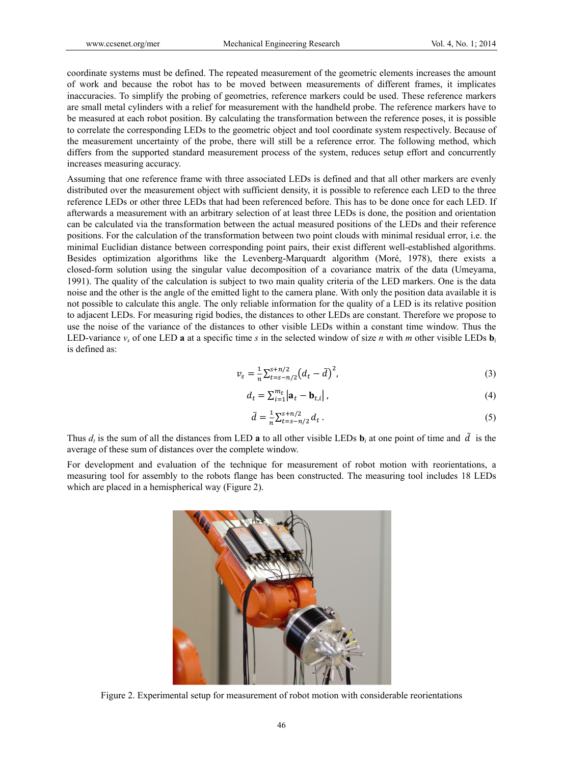coordinate systems must be defined. The repeated measurement of the geometric elements increases the amount of work and because the robot has to be moved between measurements of different frames, it implicates inaccuracies. To simplify the probing of geometries, reference markers could be used. These reference markers are small metal cylinders with a relief for measurement with the handheld probe. The reference markers have to be measured at each robot position. By calculating the transformation between the reference poses, it is possible to correlate the corresponding LEDs to the geometric object and tool coordinate system respectively. Because of the measurement uncertainty of the probe, there will still be a reference error. The following method, which differs from the supported standard measurement process of the system, reduces setup effort and concurrently increases measuring accuracy.

Assuming that one reference frame with three associated LEDs is defined and that all other markers are evenly distributed over the measurement object with sufficient density, it is possible to reference each LED to the three reference LEDs or other three LEDs that had been referenced before. This has to be done once for each LED. If afterwards a measurement with an arbitrary selection of at least three LEDs is done, the position and orientation can be calculated via the transformation between the actual measured positions of the LEDs and their reference positions. For the calculation of the transformation between two point clouds with minimal residual error, i.e. the minimal Euclidian distance between corresponding point pairs, their exist different well-established algorithms. Besides optimization algorithms like the Levenberg-Marquardt algorithm (Moré, 1978), there exists a closed-form solution using the singular value decomposition of a covariance matrix of the data (Umeyama, 1991). The quality of the calculation is subject to two main quality criteria of the LED markers. One is the data noise and the other is the angle of the emitted light to the camera plane. With only the position data available it is not possible to calculate this angle. The only reliable information for the quality of a LED is its relative position to adjacent LEDs. For measuring rigid bodies, the distances to other LEDs are constant. Therefore we propose to use the noise of the variance of the distances to other visible LEDs within a constant time window. Thus the LED-variance  $v_s$  of one LED **a** at a specific time *s* in the selected window of size *n* with *m* other visible LEDs  $\mathbf{b}_i$ is defined as:

$$
v_s = \frac{1}{n} \sum_{t=s-n/2}^{s+n/2} (d_t - \bar{d})^2,
$$
\n(3)

$$
d_t = \sum_{i=1}^{m_t} \left| \mathbf{a}_t - \mathbf{b}_{t,i} \right|,\tag{4}
$$

$$
\bar{d} = \frac{1}{n} \sum_{t=s-n/2}^{s+n/2} d_t \,. \tag{5}
$$

Thus  $d_i$  is the sum of all the distances from LED **a** to all other visible LEDs  $\mathbf{b}_i$  at one point of time and  $\bar{d}$  is the average of these sum of distances over the complete window.

For development and evaluation of the technique for measurement of robot motion with reorientations, a measuring tool for assembly to the robots flange has been constructed. The measuring tool includes 18 LEDs which are placed in a hemispherical way (Figure 2).



Figure 2. Experimental setup for measurement of robot motion with considerable reorientations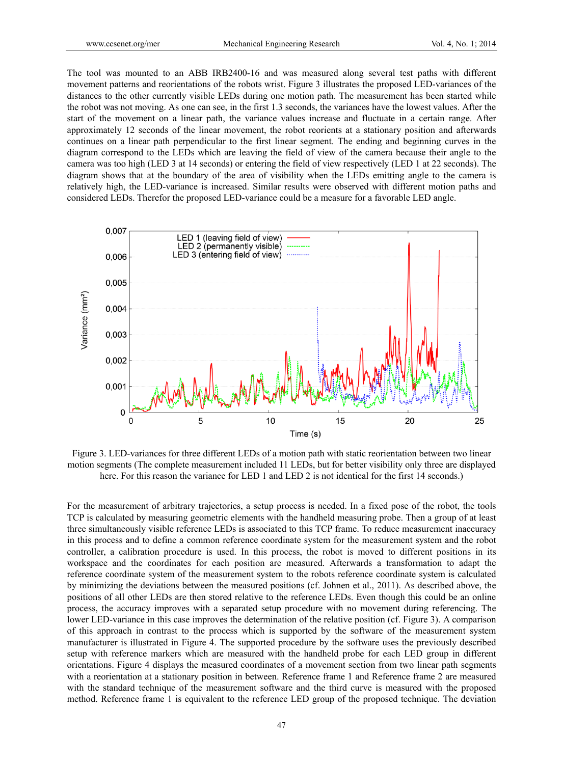The tool was mounted to an ABB IRB2400-16 and was measured along several test paths with different movement patterns and reorientations of the robots wrist. Figure 3 illustrates the proposed LED-variances of the distances to the other currently visible LEDs during one motion path. The measurement has been started while the robot was not moving. As one can see, in the first 1.3 seconds, the variances have the lowest values. After the start of the movement on a linear path, the variance values increase and fluctuate in a certain range. After approximately 12 seconds of the linear movement, the robot reorients at a stationary position and afterwards continues on a linear path perpendicular to the first linear segment. The ending and beginning curves in the diagram correspond to the LEDs which are leaving the field of view of the camera because their angle to the camera was too high (LED 3 at 14 seconds) or entering the field of view respectively (LED 1 at 22 seconds). The diagram shows that at the boundary of the area of visibility when the LEDs emitting angle to the camera is relatively high, the LED-variance is increased. Similar results were observed with different motion paths and considered LEDs. Therefor the proposed LED-variance could be a measure for a favorable LED angle.



Figure 3. LED-variances for three different LEDs of a motion path with static reorientation between two linear motion segments (The complete measurement included 11 LEDs, but for better visibility only three are displayed here. For this reason the variance for LED 1 and LED 2 is not identical for the first 14 seconds.)

For the measurement of arbitrary trajectories, a setup process is needed. In a fixed pose of the robot, the tools TCP is calculated by measuring geometric elements with the handheld measuring probe. Then a group of at least three simultaneously visible reference LEDs is associated to this TCP frame. To reduce measurement inaccuracy in this process and to define a common reference coordinate system for the measurement system and the robot controller, a calibration procedure is used. In this process, the robot is moved to different positions in its workspace and the coordinates for each position are measured. Afterwards a transformation to adapt the reference coordinate system of the measurement system to the robots reference coordinate system is calculated by minimizing the deviations between the measured positions (cf. Johnen et al., 2011). As described above, the positions of all other LEDs are then stored relative to the reference LEDs. Even though this could be an online process, the accuracy improves with a separated setup procedure with no movement during referencing. The lower LED-variance in this case improves the determination of the relative position (cf. Figure 3). A comparison of this approach in contrast to the process which is supported by the software of the measurement system manufacturer is illustrated in Figure 4. The supported procedure by the software uses the previously described setup with reference markers which are measured with the handheld probe for each LED group in different orientations. Figure 4 displays the measured coordinates of a movement section from two linear path segments with a reorientation at a stationary position in between. Reference frame 1 and Reference frame 2 are measured with the standard technique of the measurement software and the third curve is measured with the proposed method. Reference frame 1 is equivalent to the reference LED group of the proposed technique. The deviation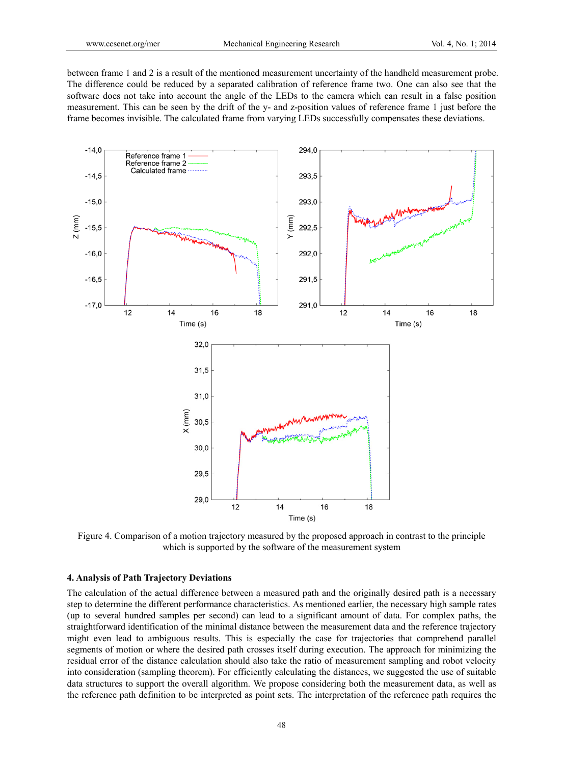between frame 1 and 2 is a result of the mentioned measurement uncertainty of the handheld measurement probe. The difference could be reduced by a separated calibration of reference frame two. One can also see that the software does not take into account the angle of the LEDs to the camera which can result in a false position measurement. This can be seen by the drift of the y- and z-position values of reference frame 1 just before the frame becomes invisible. The calculated frame from varying LEDs successfully compensates these deviations.



Figure 4. Comparison of a motion trajectory measured by the proposed approach in contrast to the principle which is supported by the software of the measurement system

### **4. Analysis of Path Trajectory Deviations**

The calculation of the actual difference between a measured path and the originally desired path is a necessary step to determine the different performance characteristics. As mentioned earlier, the necessary high sample rates (up to several hundred samples per second) can lead to a significant amount of data. For complex paths, the straightforward identification of the minimal distance between the measurement data and the reference trajectory might even lead to ambiguous results. This is especially the case for trajectories that comprehend parallel segments of motion or where the desired path crosses itself during execution. The approach for minimizing the residual error of the distance calculation should also take the ratio of measurement sampling and robot velocity into consideration (sampling theorem). For efficiently calculating the distances, we suggested the use of suitable data structures to support the overall algorithm. We propose considering both the measurement data, as well as the reference path definition to be interpreted as point sets. The interpretation of the reference path requires the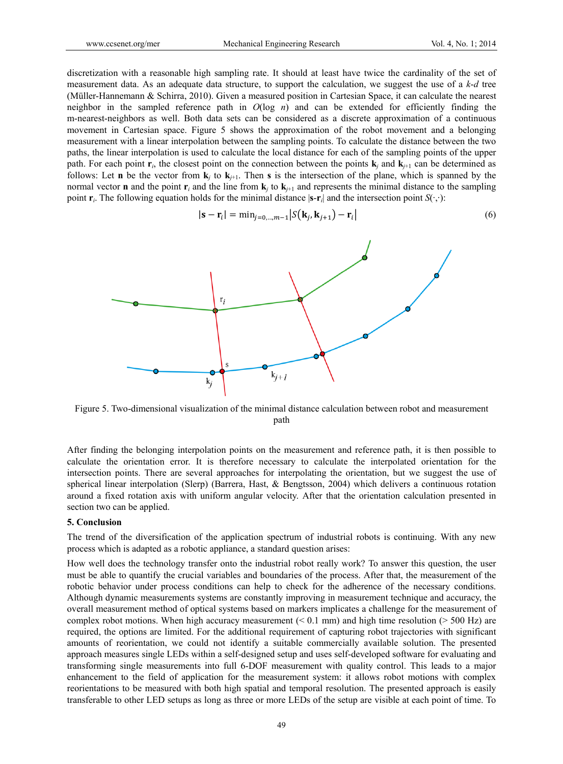discretization with a reasonable high sampling rate. It should at least have twice the cardinality of the set of measurement data. As an adequate data structure, to support the calculation, we suggest the use of a *k*-*d* tree (Müller-Hannemann & Schirra, 2010). Given a measured position in Cartesian Space, it can calculate the nearest neighbor in the sampled reference path in  $O(\log n)$  and can be extended for efficiently finding the m-nearest-neighbors as well. Both data sets can be considered as a discrete approximation of a continuous movement in Cartesian space. Figure 5 shows the approximation of the robot movement and a belonging measurement with a linear interpolation between the sampling points. To calculate the distance between the two paths, the linear interpolation is used to calculate the local distance for each of the sampling points of the upper path. For each point  $\mathbf{r}_i$ , the closest point on the connection between the points  $\mathbf{k}_i$  and  $\mathbf{k}_{i+1}$  can be determined as follows: Let **n** be the vector from  $\mathbf{k}_i$  to  $\mathbf{k}_{i+1}$ . Then **s** is the intersection of the plane, which is spanned by the normal vector **n** and the point  $\mathbf{r}_i$  and the line from  $\mathbf{k}_i$  to  $\mathbf{k}_{i+1}$  and represents the minimal distance to the sampling point  $\mathbf{r}_i$ . The following equation holds for the minimal distance  $|\mathbf{s}-\mathbf{r}_i|$  and the intersection point  $S(\cdot,\cdot)$ :

$$
|\mathbf{s} - \mathbf{r}_i| = \min_{j=0,\dots,m-1} |S(\mathbf{k}_j, \mathbf{k}_{j+1}) - \mathbf{r}_i|
$$
 (6)



Figure 5. Two-dimensional visualization of the minimal distance calculation between robot and measurement path

After finding the belonging interpolation points on the measurement and reference path, it is then possible to calculate the orientation error. It is therefore necessary to calculate the interpolated orientation for the intersection points. There are several approaches for interpolating the orientation, but we suggest the use of spherical linear interpolation (Slerp) (Barrera, Hast, & Bengtsson, 2004) which delivers a continuous rotation around a fixed rotation axis with uniform angular velocity. After that the orientation calculation presented in section two can be applied.

### **5. Conclusion**

The trend of the diversification of the application spectrum of industrial robots is continuing. With any new process which is adapted as a robotic appliance, a standard question arises:

How well does the technology transfer onto the industrial robot really work? To answer this question, the user must be able to quantify the crucial variables and boundaries of the process. After that, the measurement of the robotic behavior under process conditions can help to check for the adherence of the necessary conditions. Although dynamic measurements systems are constantly improving in measurement technique and accuracy, the overall measurement method of optical systems based on markers implicates a challenge for the measurement of complex robot motions. When high accuracy measurement  $(< 0.1$  mm) and high time resolution  $(> 500$  Hz) are required, the options are limited. For the additional requirement of capturing robot trajectories with significant amounts of reorientation, we could not identify a suitable commercially available solution. The presented approach measures single LEDs within a self-designed setup and uses self-developed software for evaluating and transforming single measurements into full 6-DOF measurement with quality control. This leads to a major enhancement to the field of application for the measurement system: it allows robot motions with complex reorientations to be measured with both high spatial and temporal resolution. The presented approach is easily transferable to other LED setups as long as three or more LEDs of the setup are visible at each point of time. To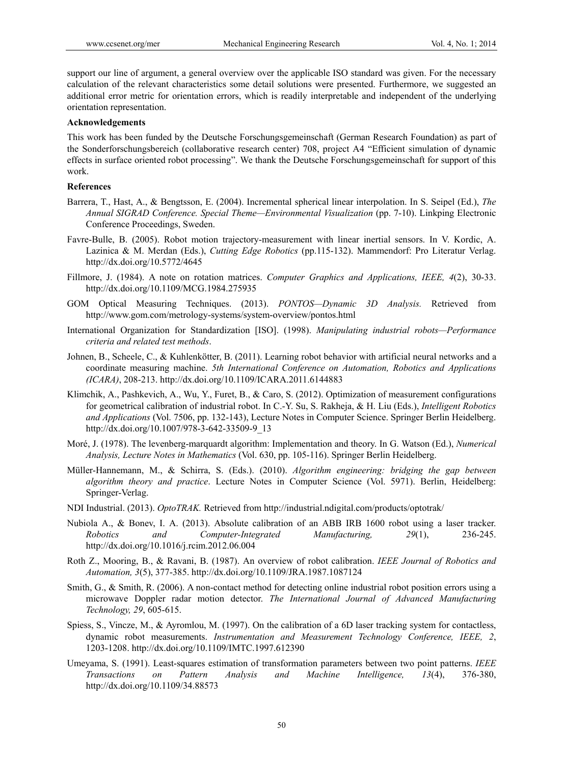support our line of argument, a general overview over the applicable ISO standard was given. For the necessary calculation of the relevant characteristics some detail solutions were presented. Furthermore, we suggested an additional error metric for orientation errors, which is readily interpretable and independent of the underlying orientation representation.

#### **Acknowledgements**

This work has been funded by the Deutsche Forschungsgemeinschaft (German Research Foundation) as part of the Sonderforschungsbereich (collaborative research center) 708, project A4 "Efficient simulation of dynamic effects in surface oriented robot processing". We thank the Deutsche Forschungsgemeinschaft for support of this work.

#### **References**

- Barrera, T., Hast, A., & Bengtsson, E. (2004). Incremental spherical linear interpolation. In S. Seipel (Ed.), *The Annual SIGRAD Conference. Special Theme—Environmental Visualization* (pp. 7-10). Linkping Electronic Conference Proceedings, Sweden.
- Favre-Bulle, B. (2005). Robot motion trajectory-measurement with linear inertial sensors. In V. Kordic, A. Lazinica & M. Merdan (Eds.), *Cutting Edge Robotics* (pp.115-132). Mammendorf: Pro Literatur Verlag. http://dx.doi.org/10.5772/4645
- Fillmore, J. (1984). A note on rotation matrices. *Computer Graphics and Applications, IEEE, 4*(2), 30-33. http://dx.doi.org/10.1109/MCG.1984.275935
- GOM Optical Measuring Techniques. (2013). *PONTOS—Dynamic 3D Analysis.* Retrieved from http://www.gom.com/metrology-systems/system-overview/pontos.html
- International Organization for Standardization [ISO]. (1998). *Manipulating industrial robots—Performance criteria and related test methods*.
- Johnen, B., Scheele, C., & Kuhlenkötter, B. (2011). Learning robot behavior with artificial neural networks and a coordinate measuring machine. *5th International Conference on Automation, Robotics and Applications (ICARA)*, 208-213. http://dx.doi.org/10.1109/ICARA.2011.6144883
- Klimchik, A., Pashkevich, A., Wu, Y., Furet, B., & Caro, S. (2012). Optimization of measurement configurations for geometrical calibration of industrial robot. In C.-Y. Su, S. Rakheja, & H. Liu (Eds.), *Intelligent Robotics and Applications* (Vol. 7506, pp. 132-143), Lecture Notes in Computer Science. Springer Berlin Heidelberg. http://dx.doi.org/10.1007/978-3-642-33509-9\_13
- Moré, J. (1978). The levenberg-marquardt algorithm: Implementation and theory. In G. Watson (Ed.), *Numerical Analysis, Lecture Notes in Mathematics* (Vol. 630, pp. 105-116). Springer Berlin Heidelberg.
- Müller-Hannemann, M., & Schirra, S. (Eds.). (2010). *Algorithm engineering: bridging the gap between algorithm theory and practice*. Lecture Notes in Computer Science (Vol. 5971). Berlin, Heidelberg: Springer-Verlag.
- NDI Industrial. (2013). *OptoTRAK.* Retrieved from http://industrial.ndigital.com/products/optotrak/
- Nubiola A., & Bonev, I. A. (2013). Absolute calibration of an ABB IRB 1600 robot using a laser tracker. *Robotics and Computer-Integrated Manufacturing, 29*(1), 236-245. http://dx.doi.org/10.1016/j.rcim.2012.06.004
- Roth Z., Mooring, B., & Ravani, B. (1987). An overview of robot calibration. *IEEE Journal of Robotics and Automation, 3*(5), 377-385. http://dx.doi.org/10.1109/JRA.1987.1087124
- Smith, G., & Smith, R. (2006). A non-contact method for detecting online industrial robot position errors using a microwave Doppler radar motion detector. *The International Journal of Advanced Manufacturing Technology, 29*, 605-615.
- Spiess, S., Vincze, M., & Ayromlou, M. (1997). On the calibration of a 6D laser tracking system for contactless, dynamic robot measurements. *Instrumentation and Measurement Technology Conference, IEEE, 2*, 1203-1208. http://dx.doi.org/10.1109/IMTC.1997.612390
- Umeyama, S. (1991). Least-squares estimation of transformation parameters between two point patterns. *IEEE Transactions on Pattern Analysis and Machine Intelligence, 13*(4), 376-380, http://dx.doi.org/10.1109/34.88573